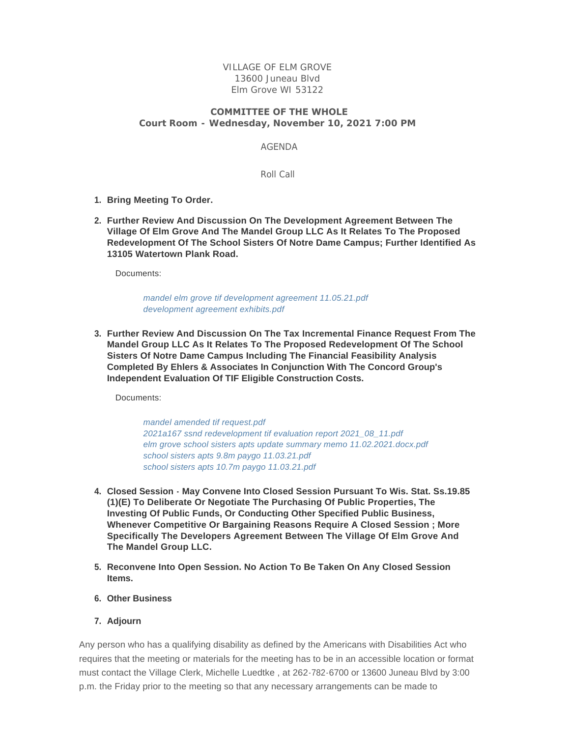VILLAGE OF ELM GROVE 13600 Juneau Blvd Elm Grove WI 53122

## **COMMITTEE OF THE WHOLE**

**Court Room - Wednesday, November 10, 2021 7:00 PM**

AGENDA

Roll Call

- **Bring Meeting To Order. 1.**
- **Further Review And Discussion On The Development Agreement Between The 2. Village Of Elm Grove And The Mandel Group LLC As It Relates To The Proposed Redevelopment Of The School Sisters Of Notre Dame Campus; Further Identified As 13105 Watertown Plank Road.**

Documents:

*[mandel elm grove tif development agreement 11.05.21.pdf](https://elmgrovewi.org/AgendaCenter/ViewFile/Item/11113?fileID=17065) [development agreement exhibits.pdf](https://elmgrovewi.org/AgendaCenter/ViewFile/Item/11113?fileID=17066)*

**Further Review And Discussion On The Tax Incremental Finance Request From The 3. Mandel Group LLC As It Relates To The Proposed Redevelopment Of The School Sisters Of Notre Dame Campus Including The Financial Feasibility Analysis Completed By Ehlers & Associates In Conjunction With The Concord Group's Independent Evaluation Of TIF Eligible Construction Costs.**

Documents:

*[mandel amended tif request.pdf](https://elmgrovewi.org/AgendaCenter/ViewFile/Item/11112?fileID=17054) [2021a167 ssnd redevelopment tif evaluation report 2021\\_08\\_11.pdf](https://elmgrovewi.org/AgendaCenter/ViewFile/Item/11112?fileID=17059) [elm grove school sisters apts update summary memo 11.02.2021.docx.pdf](https://elmgrovewi.org/AgendaCenter/ViewFile/Item/11112?fileID=17060) [school sisters apts 9.8m paygo 11.03.21.pdf](https://elmgrovewi.org/AgendaCenter/ViewFile/Item/11112?fileID=17061) [school sisters apts 10.7m paygo 11.03.21.pdf](https://elmgrovewi.org/AgendaCenter/ViewFile/Item/11112?fileID=17062)*

- **Closed Session May Convene Into Closed Session Pursuant To Wis. Stat. Ss.19.85 4. (1)(E) To Deliberate Or Negotiate The Purchasing Of Public Properties, The Investing Of Public Funds, Or Conducting Other Specified Public Business, Whenever Competitive Or Bargaining Reasons Require A Closed Session ; More Specifically The Developers Agreement Between The Village Of Elm Grove And The Mandel Group LLC.**
- **Reconvene Into Open Session. No Action To Be Taken On Any Closed Session 5. Items.**
- **Other Business 6.**
- **Adjourn 7.**

Any person who has a qualifying disability as defined by the Americans with Disabilities Act who requires that the meeting or materials for the meeting has to be in an accessible location or format must contact the Village Clerk, Michelle Luedtke , at 262-782-6700 or 13600 Juneau Blvd by 3:00 p.m. the Friday prior to the meeting so that any necessary arrangements can be made to